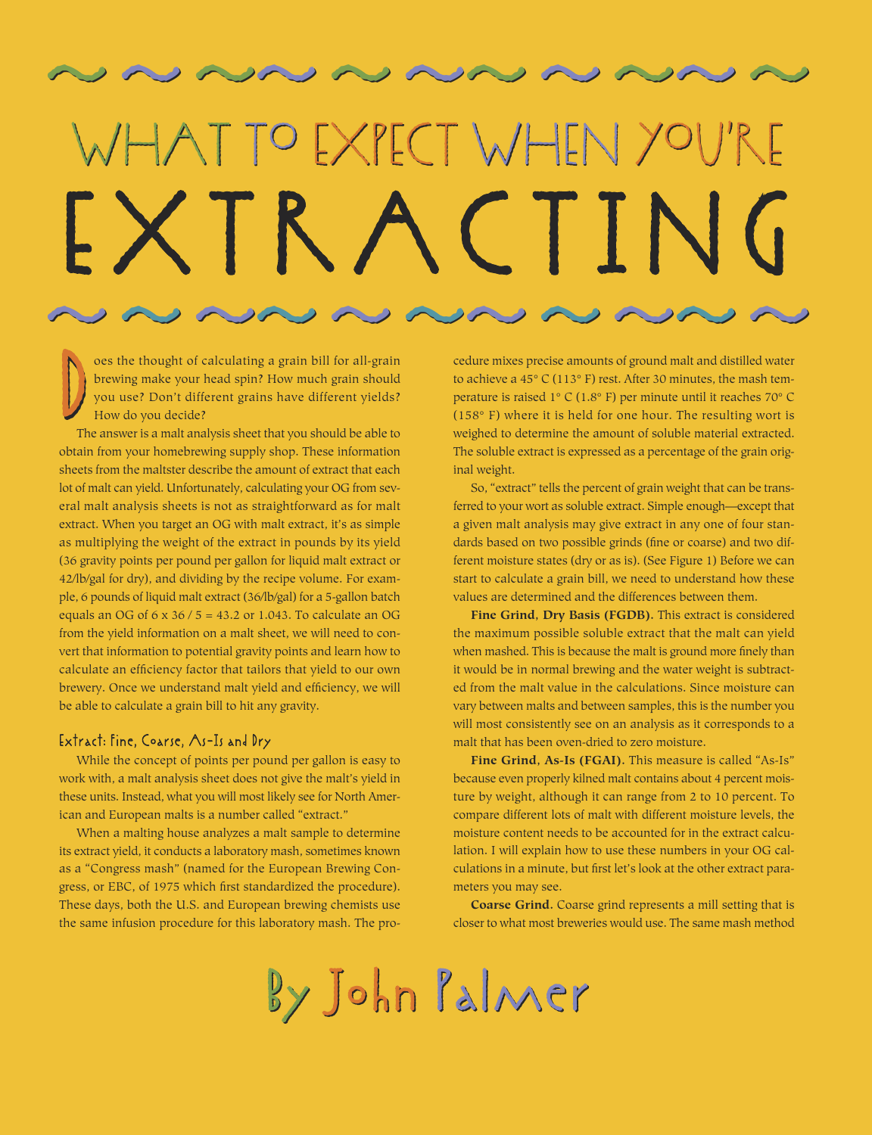# ˜˜˜˜˜˜˜˜˜˜˜ WHAT TO EXPECT WHEN YOU'RE WHAT TO EXPECT WHEN YOU'RE E X T R A C T I N G E X T R A C T I N G

D<br>Th oes the thought of calculating a grain bill for all-grain brewing make your head spin? How much grain should you use? Don't different grains have different yields? How do you decide? D<sub>T</sub>

The answer is a malt analysis sheet that you should be able to obtain from your homebrewing supply shop. These information sheets from the maltster describe the amount of extract that each lot of malt can yield. Unfortunately, calculating your OG from several malt analysis sheets is not as straightforward as for malt extract. When you target an OG with malt extract, it's as simple as multiplying the weight of the extract in pounds by its yield (36 gravity points per pound per gallon for liquid malt extract or 42/lb/gal for dry), and dividing by the recipe volume. For example, 6 pounds of liquid malt extract (36/lb/gal) for a 5-gallon batch equals an OG of  $6 \times 36 / 5 = 43.2$  or 1.043. To calculate an OG from the yield information on a malt sheet, we will need to convert that information to potential gravity points and learn how to calculate an efficiency factor that tailors that yield to our own brewery. Once we understand malt yield and efficiency, we will be able to calculate a grain bill to hit any gravity.

#### Extract: Fine, Coarse, As-Is and Dry

While the concept of points per pound per gallon is easy to work with, a malt analysis sheet does not give the malt's yield in these units. Instead, what you will most likely see for North American and European malts is a number called "extract."

When a malting house analyzes a malt sample to determine its extract yield, it conducts a laboratory mash, sometimes known as a "Congress mash" (named for the European Brewing Congress, or EBC, of 1975 which first standardized the procedure). These days, both the U.S. and European brewing chemists use the same infusion procedure for this laboratory mash. The pro-

cedure mixes precise amounts of ground malt and distilled water to achieve a 45° C (113° F) rest. After 30 minutes, the mash temperature is raised 1° C (1.8° F) per minute until it reaches 70° C (158° F) where it is held for one hour. The resulting wort is weighed to determine the amount of soluble material extracted. The soluble extract is expressed as a percentage of the grain original weight. On't different grain bill for all-grain<br>
Source mixes precise amounts of ground malt and distilled water<br>
brewing make your head spin? How much grain should<br>
you use? Don't different grains have different yields?<br>
The answ

> So, "extract" tells the percent of grain weight that can be transferred to your wort as soluble extract. Simple enough—except that a given malt analysis may give extract in any one of four standards based on two possible grinds (fine or coarse) and two different moisture states (dry or as is). (See Figure 1) Before we can start to calculate a grain bill, we need to understand how these values are determined and the differences between them.

> **Fine Grind, Dry Basis (FGDB).** This extract is considered the maximum possible soluble extract that the malt can yield when mashed. This is because the malt is ground more finely than it would be in normal brewing and the water weight is subtracted from the malt value in the calculations. Since moisture can vary between malts and between samples, this is the number you will most consistently see on an analysis as it corresponds to a malt that has been oven-dried to zero moisture.

> **Fine Grind, As-Is (FGAI).** This measure is called "As-Is" because even properly kilned malt contains about 4 percent moisture by weight, although it can range from 2 to 10 percent. To compare different lots of malt with different moisture levels, the moisture content needs to be accounted for in the extract calculation. I will explain how to use these numbers in your OG calculations in a minute, but first let's look at the other extract parameters you may see.

> **Coarse Grind.** Coarse grind represents a mill setting that is closer to what most breweries would use. The same mash method

By John Palmer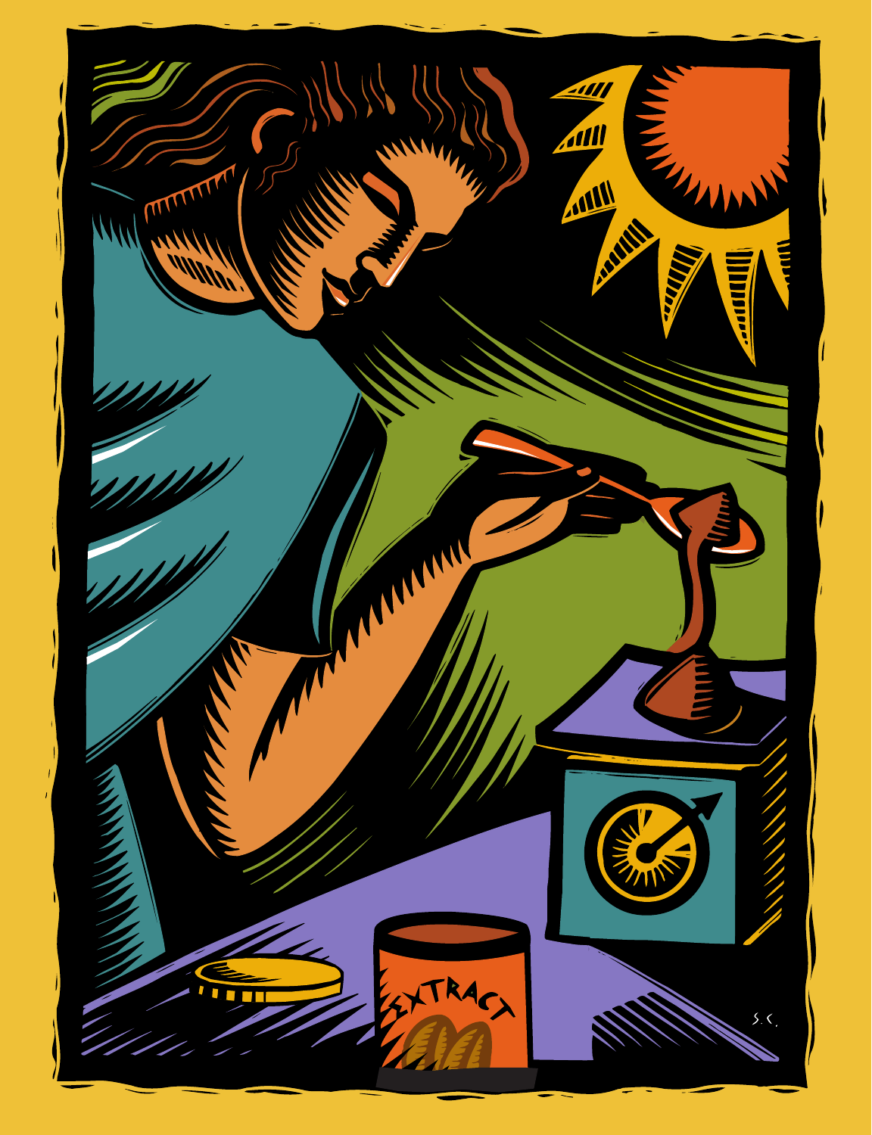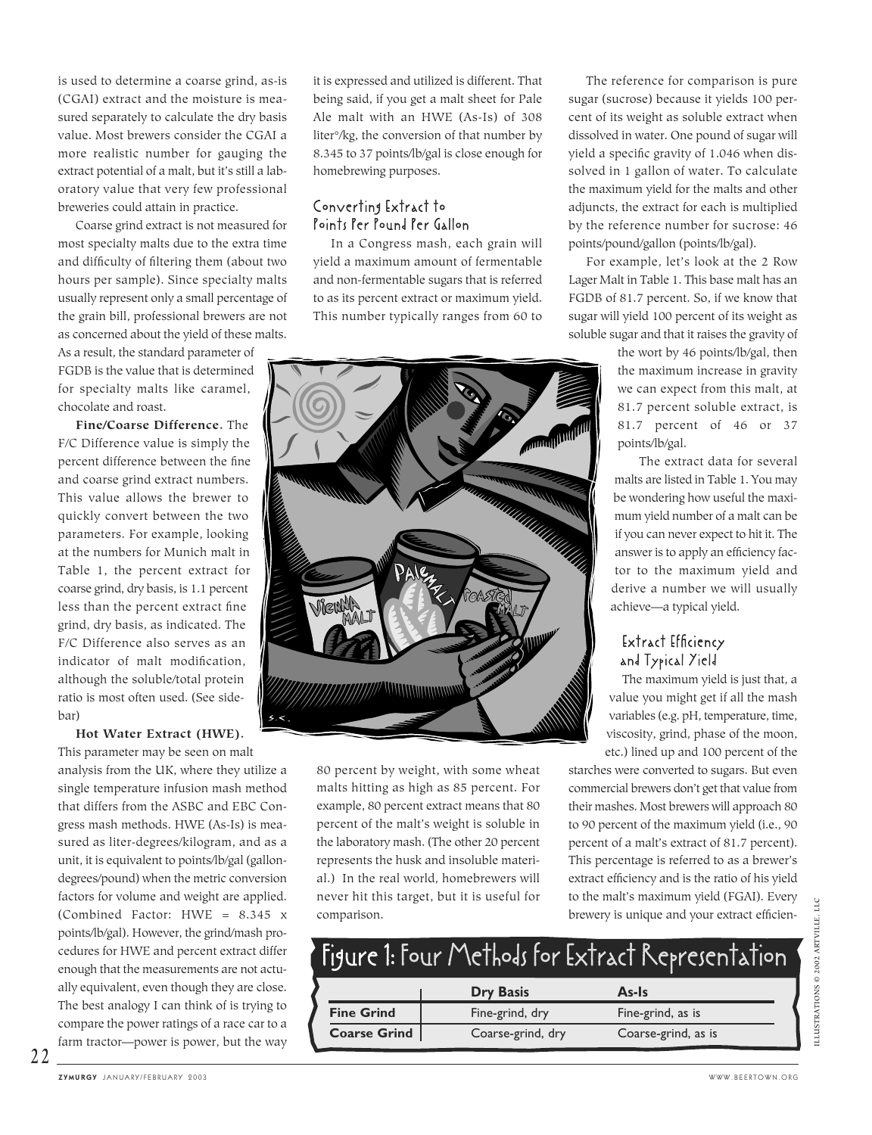is used to determine a coarse grind, as-is (CGAI) extract and the moisture is measured separately to calculate the dry basis value. Most brewers consider the CGAI a more realistic number for gauging the extract potential of a malt, but it's still a laboratory value that very few professional breweries could attain in practice.

Coarse grind extract is not measured for most specialty malts due to the extra time and difficulty of filtering them (about two hours per sample). Since specialty malts usually represent only a small percentage of the grain bill, professional brewers are not as concerned about the yield of these malts.

As a result, the standard parameter of FGDB is the value that is determined for specialty malts like caramel, chocolate and roast.

**Fine/Coarse Difference.** The F/C Difference value is simply the percent difference between the fine and coarse grind extract numbers. This value allows the brewer to quickly convert between the two parameters. For example, looking at the numbers for Munich malt in Table 1, the percent extract for coarse grind, dry basis, is 1.1 percent less than the percent extract fine grind, dry basis, as indicated. The F/C Difference also serves as an indicator of malt modification, although the soluble/total protein ratio is most often used. (See sidebar)

#### **Hot Water Extract (HWE).**

This parameter may be seen on malt analysis from the UK, where they utilize a single temperature infusion mash method that differs from the ASBC and EBC Congress mash methods. HWE (As-Is) is measured as liter-degrees/kilogram, and as a unit, it is equivalent to points/lb/gal (gallondegrees/pound) when the metric conversion factors for volume and weight are applied. (Combined Factor: HWE = 8.345 x points/lb/gal). However, the grind/mash procedures for HWE and percent extract differ enough that the measurements are not actually equivalent, even though they are close. The best analogy I can think of is trying to compare the power ratings of a race car to a farm tractor—power is power, but the way

it is expressed and utilized is different. That being said, if you get a malt sheet for Pale Ale malt with an HWE (As-Is) of 308 liter°/kg, the conversion of that number by 8.345 to 37 points/lb/gal is close enough for homebrewing purposes.

#### Converting Extract to Points Per Pound Per Gallon

In a Congress mash, each grain will yield a maximum amount of fermentable and non-fermentable sugars that is referred to as its percent extract or maximum yield. This number typically ranges from 60 to



80 percent by weight, with some wheat malts hitting as high as 85 percent. For example, 80 percent extract means that 80 percent of the malt's weight is soluble in the laboratory mash. (The other 20 percent represents the husk and insoluble material.) In the real world, homebrewers will never hit this target, but it is useful for comparison.

The reference for comparison is pure sugar (sucrose) because it yields 100 percent of its weight as soluble extract when dissolved in water. One pound of sugar will yield a specific gravity of 1.046 when dissolved in 1 gallon of water. To calculate the maximum yield for the malts and other adjuncts, the extract for each is multiplied by the reference number for sucrose: 46 points/pound/gallon (points/lb/gal).

For example, let's look at the 2 Row Lager Malt in Table 1. This base malt has an FGDB of 81.7 percent. So, if we know that sugar will yield 100 percent of its weight as soluble sugar and that it raises the gravity of

> the wort by 46 points/lb/gal, then the maximum increase in gravity we can expect from this malt, at 81.7 percent soluble extract, is 81.7 percent of 46 or 37 points/lb/gal.

The extract data for several malts are listed in Table 1. You may be wondering how useful the maximum yield number of a malt can be if you can never expect to hit it. The answer is to apply an efficiency factor to the maximum yield and derive a number we will usually achieve—a typical yield.

#### Extract Efficiency and Typical Yield

The maximum yield is just that, a value you might get if all the mash variables (e.g. pH, temperature, time, viscosity, grind, phase of the moon, etc.) lined up and 100 percent of the

starches were converted to sugars. But even commercial brewers don't get that value from their mashes. Most brewers will approach 80 to 90 percent of the maximum yield (i.e., 90 percent of a malt's extract of 81.7 percent). This percentage is referred to as a brewer's extract efficiency and is the ratio of his yield to the malt's maximum yield (FGAI). Every brewery is unique and your extract efficien-

## Figure 1: Four Methods for Extract Representation

| never the this target, but it is usefurnor<br>comparison. |                  | to the man <i>s</i> maximum yield (I GAT). EVEry<br>brewery is unique and your extract efficien- |                         |  |  |
|-----------------------------------------------------------|------------------|--------------------------------------------------------------------------------------------------|-------------------------|--|--|
| <u> Figure 1: Four Methods for Extract Representation</u> |                  |                                                                                                  |                         |  |  |
|                                                           | <b>Dry Basis</b> | As-Is                                                                                            | LUSTRATIONS © 2002 ARTY |  |  |
|                                                           |                  |                                                                                                  |                         |  |  |
| <b>Fine Grind</b>                                         | Fine-grind, dry  | Fine-grind, as is                                                                                |                         |  |  |

2 2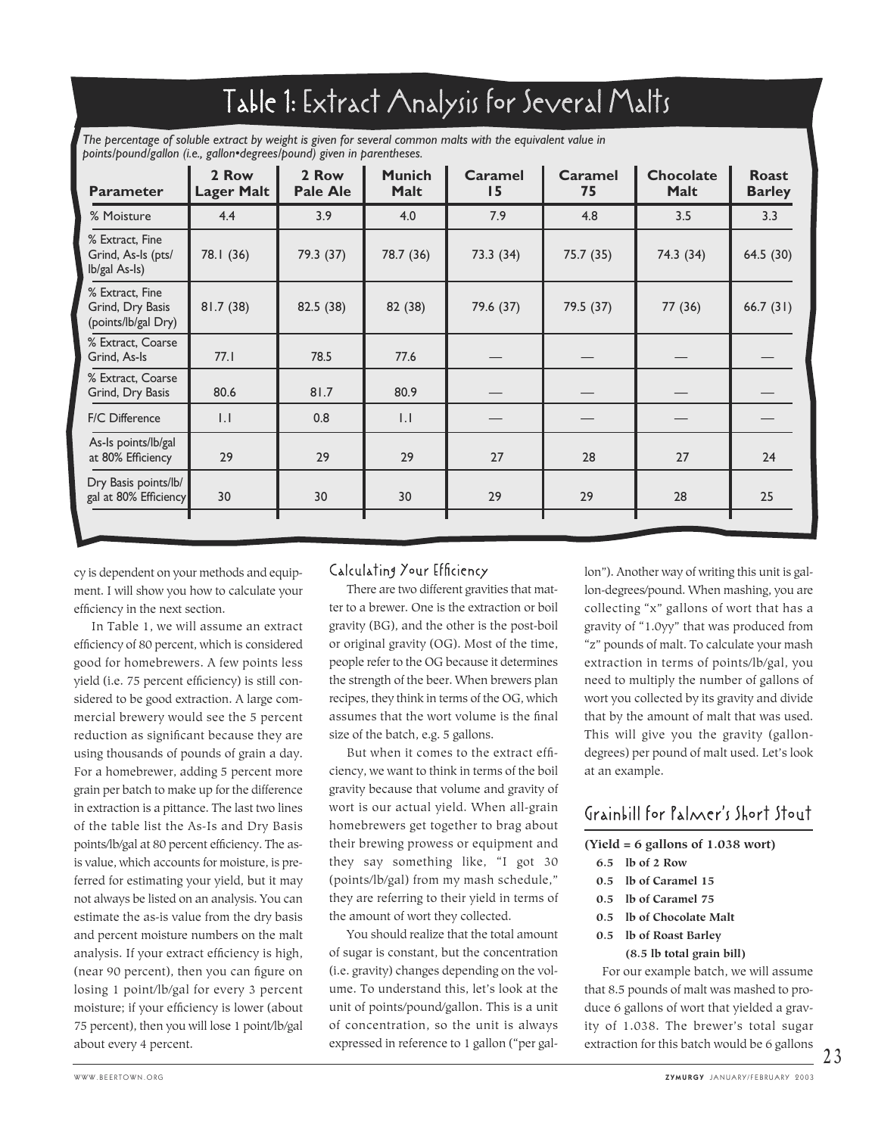# Table 1: Extract Analysis for Several Malts

The percentage of soluble extract by weight is given for several common malts with the equivalent value in *points/pound/gallon (i.e., gallon•degrees/pound) given in parentheses.*

| <b>Parameter</b>                                           | 2 Row<br><b>Lager Malt</b> | 2 Row<br><b>Pale Ale</b> | <b>Munich</b><br>Malt | <b>Caramel</b><br>15 | <b>Caramel</b><br>75 | <b>Chocolate</b><br>Malt | <b>Roast</b><br><b>Barley</b> |
|------------------------------------------------------------|----------------------------|--------------------------|-----------------------|----------------------|----------------------|--------------------------|-------------------------------|
| % Moisture                                                 | 4.4                        | 3.9                      | 4.0                   | 7.9                  | 4.8                  | 3.5                      | 3.3                           |
| % Extract, Fine<br>Grind, As-Is (pts/<br>Ib/gal As-Is)     | 78.1 (36)                  | 79.3 (37)                | 78.7 (36)             | 73.3 (34)            | 75.7 (35)            | 74.3 (34)                | 64.5 (30)                     |
| % Extract, Fine<br>Grind, Dry Basis<br>(points/lb/gal Dry) | 81.7 (38)                  | 82.5 (38)                | 82 (38)               | 79.6 (37)            | 79.5 (37)            | 77 (36)                  | 66.7(31)                      |
| % Extract, Coarse<br>Grind, As-Is                          | 77.1                       | 78.5                     | 77.6                  |                      |                      |                          |                               |
| % Extract, Coarse<br>Grind, Dry Basis                      | 80.6                       | 81.7                     | 80.9                  |                      |                      |                          |                               |
| F/C Difference                                             | 1.1                        | 0.8                      | $  \cdot  $           |                      |                      |                          |                               |
| As-Is points/lb/gal<br>at 80% Efficiency                   | 29                         | 29                       | 29                    | 27                   | 28                   | 27                       | 24                            |
| Dry Basis points/lb/<br>gal at 80% Efficiency              | 30                         | 30                       | 30                    | 29                   | 29                   | 28                       | 25                            |
|                                                            |                            |                          |                       |                      |                      |                          |                               |

cy is dependent on your methods and equipment. I will show you how to calculate your efficiency in the next section.

In Table 1, we will assume an extract efficiency of 80 percent, which is considered good for homebrewers. A few points less yield (i.e. 75 percent efficiency) is still considered to be good extraction. A large commercial brewery would see the 5 percent reduction as significant because they are using thousands of pounds of grain a day. For a homebrewer, adding 5 percent more grain per batch to make up for the difference in extraction is a pittance. The last two lines of the table list the As-Is and Dry Basis points/lb/gal at 80 percent efficiency. The asis value, which accounts for moisture, is preferred for estimating your yield, but it may not always be listed on an analysis. You can estimate the as-is value from the dry basis and percent moisture numbers on the malt analysis. If your extract efficiency is high, (near 90 percent), then you can figure on losing 1 point/lb/gal for every 3 percent moisture; if your efficiency is lower (about 75 percent), then you will lose 1 point/lb/gal about every 4 percent.

#### Calculating Your Efficiency

There are two different gravities that matter to a brewer. One is the extraction or boil gravity (BG), and the other is the post-boil or original gravity (OG). Most of the time, people refer to the OG because it determines the strength of the beer. When brewers plan recipes, they think in terms of the OG, which assumes that the wort volume is the final size of the batch, e.g. 5 gallons.

But when it comes to the extract efficiency, we want to think in terms of the boil gravity because that volume and gravity of wort is our actual yield. When all-grain homebrewers get together to brag about their brewing prowess or equipment and they say something like, "I got 30 (points/lb/gal) from my mash schedule," they are referring to their yield in terms of the amount of wort they collected.

You should realize that the total amount of sugar is constant, but the concentration (i.e. gravity) changes depending on the volume. To understand this, let's look at the unit of points/pound/gallon. This is a unit of concentration, so the unit is always expressed in reference to 1 gallon ("per gallon"). Another way of writing this unit is gallon-degrees/pound. When mashing, you are collecting "x" gallons of wort that has a gravity of "1.0yy" that was produced from "z" pounds of malt. To calculate your mash extraction in terms of points/lb/gal, you need to multiply the number of gallons of wort you collected by its gravity and divide that by the amount of malt that was used. This will give you the gravity (gallondegrees) per pound of malt used. Let's look at an example.

## Grainbill for Palmer's Short Stout

- **(Yield = 6 gallons of 1.038 wort)**
- **6.5 lb of 2 Row**
- **0.5 lb of Caramel 15**
- **0.5 lb of Caramel 75**
- **0.5 lb of Chocolate Malt**
- **0.5 lb of Roast Barley**

#### **(8.5 lb total grain bill)**

For our example batch, we will assume that 8.5 pounds of malt was mashed to produce 6 gallons of wort that yielded a gravity of 1.038. The brewer's total sugar extraction for this batch would be 6 gallons

2 3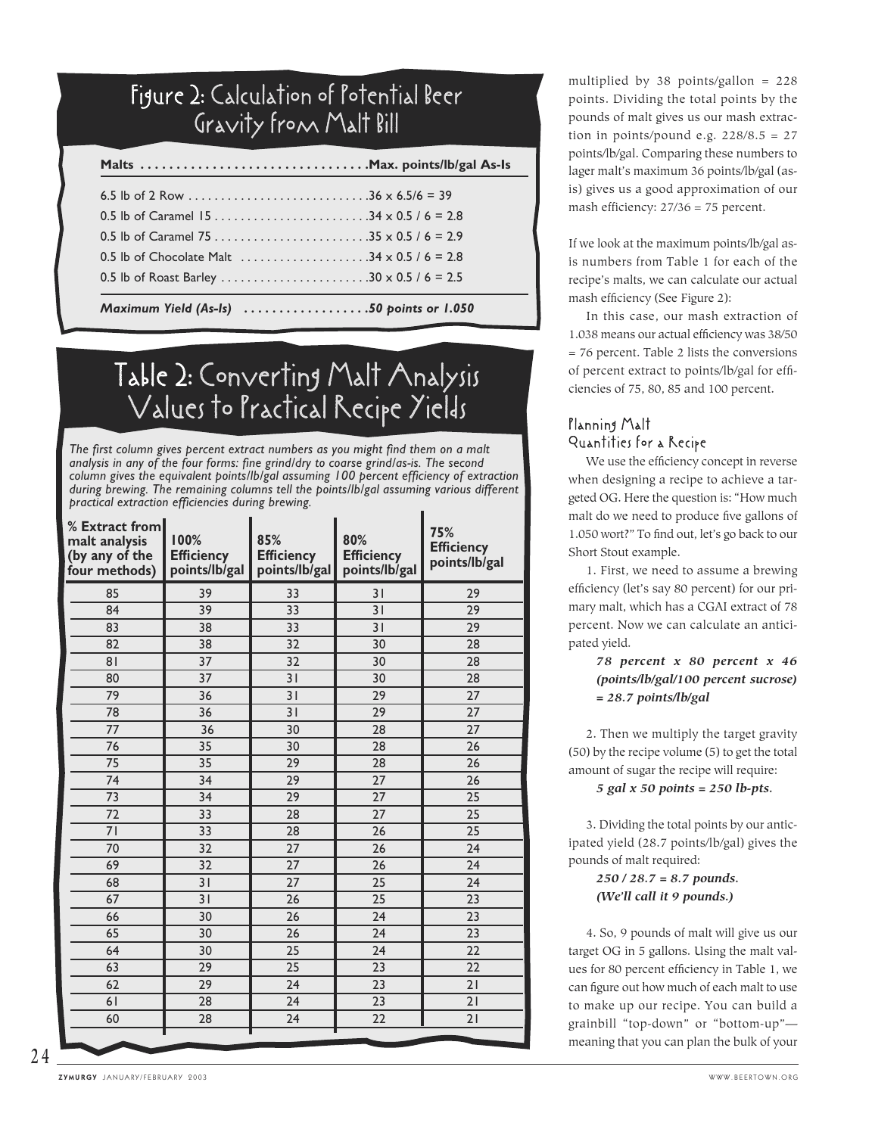## Figure 2: Calculation of Potential Beer Gravity from Malt Bill

| 0.5 lb of Chocolate Malt $\ldots \ldots \ldots \ldots \ldots \ldots 34 \times 0.5 / 6 = 2.8$ |  |
|----------------------------------------------------------------------------------------------|--|
| 0.5 lb of Roast Barley 30 x 0.5 / 6 = 2.5                                                    |  |
| Maximum Yield (As-Is) 50 points or 1.050                                                     |  |

## Table 2: Converting Malt Analysis Values to Practical Recipe Yields

*The first column gives percent extract numbers as you might find them on a malt analysis in any of the four forms: fine grind/dry to coarse grind/as-is. The second column gives the equivalent points/lb/gal assuming 100 percent efficiency of extraction during brewing. The remaining columns tell the points/lb/gal assuming various different practical extraction efficiencies during brewing.*

| % Extract from<br>malt analysis<br>(by any of the<br>four methods) | 100%<br><b>Efficiency</b><br>points/lb/gal | 85%<br><b>Efficiency</b><br>points/lb/gal | 80%<br><b>Efficiency</b><br>points/lb/gal | 75%<br><b>Efficiency</b><br>points/lb/gal |
|--------------------------------------------------------------------|--------------------------------------------|-------------------------------------------|-------------------------------------------|-------------------------------------------|
| 85                                                                 | 39                                         | 33                                        | 31                                        | 29                                        |
| 84                                                                 | 39                                         | 33                                        | 31                                        | 29                                        |
| 83                                                                 | 38                                         | 33                                        | 31                                        | 29                                        |
| 82                                                                 | 38                                         | 32                                        | 30                                        | 28                                        |
| 8 <sub>1</sub>                                                     | 37                                         | $\overline{32}$                           | 30                                        | 28                                        |
| 80                                                                 | 37                                         | 31                                        | 30                                        | 28                                        |
| 79                                                                 | 36                                         | 31                                        | 29                                        | 27                                        |
| 78                                                                 | 36                                         | $\overline{31}$                           | 29                                        | 27                                        |
| 77                                                                 | 36                                         | 30                                        | 28                                        | 27                                        |
| 76                                                                 | 35                                         | 30                                        | 28                                        | 26                                        |
| 75                                                                 | 35                                         | 29                                        | 28                                        | 26                                        |
| 74                                                                 | 34                                         | 29                                        | 27                                        | 26                                        |
| $\overline{73}$                                                    | 34                                         | 29                                        | $\overline{27}$                           | 25                                        |
| 72                                                                 | 33                                         | 28                                        | 27                                        | 25                                        |
| 71                                                                 | 33                                         | 28                                        | 26                                        | 25                                        |
| 70                                                                 | 32                                         | 27                                        | 26                                        | 24                                        |
| 69                                                                 | 32                                         | 27                                        | 26                                        | 24                                        |
| 68                                                                 | 31                                         | 27                                        | 25                                        | 24                                        |
| 67                                                                 | 31                                         | 26                                        | 25                                        | 23                                        |
| 66                                                                 | 30                                         | 26                                        | 24                                        | 23                                        |
| 65                                                                 | 30                                         | 26                                        | 24                                        | 23                                        |
| 64                                                                 | 30                                         | 25                                        | 24                                        | 22                                        |
| 63                                                                 | 29                                         | 25                                        | 23                                        | 22                                        |
| 62                                                                 | 29                                         | 24                                        | 23                                        | 21                                        |
| 61                                                                 | 28                                         | 24                                        | 2 <sub>3</sub>                            | 21                                        |
| 60                                                                 | 28                                         | 24                                        | 22                                        | 21                                        |
|                                                                    |                                            |                                           |                                           |                                           |

multiplied by 38 points/gallon = 228 points. Dividing the total points by the pounds of malt gives us our mash extraction in points/pound e.g.  $228/8.5 = 27$ points/lb/gal. Comparing these numbers to lager malt's maximum 36 points/lb/gal (asis) gives us a good approximation of our mash efficiency: 27/36 = 75 percent.

If we look at the maximum points/lb/gal asis numbers from Table 1 for each of the recipe's malts, we can calculate our actual mash efficiency (See Figure 2):

In this case, our mash extraction of 1.038 means our actual efficiency was 38/50 = 76 percent. Table 2 lists the conversions of percent extract to points/lb/gal for efficiencies of 75, 80, 85 and 100 percent.

#### Planning Malt Quantities for a Recipe

We use the efficiency concept in reverse when designing a recipe to achieve a targeted OG. Here the question is: "How much malt do we need to produce five gallons of 1.050 wort?" To find out, let's go back to our Short Stout example.

1. First, we need to assume a brewing efficiency (let's say 80 percent) for our primary malt, which has a CGAI extract of 78 percent. Now we can calculate an anticipated yield.

#### *78 percent x 80 percent x 46 (points/lb/gal/100 percent sucrose) = 28.7 points/lb/gal*

2. Then we multiply the target gravity (50) by the recipe volume (5) to get the total amount of sugar the recipe will require:

#### *5 gal x 50 points = 250 lb-pts.*

3. Dividing the total points by our anticipated yield (28.7 points/lb/gal) gives the pounds of malt required:

#### *250 / 28.7 = 8.7 pounds. (We'll call it 9 pounds.)*

4. So, 9 pounds of malt will give us our target OG in 5 gallons. Using the malt values for 80 percent efficiency in Table 1, we can figure out how much of each malt to use to make up our recipe. You can build a grainbill "top-down" or "bottom-up" meaning that you can plan the bulk of your

2 4